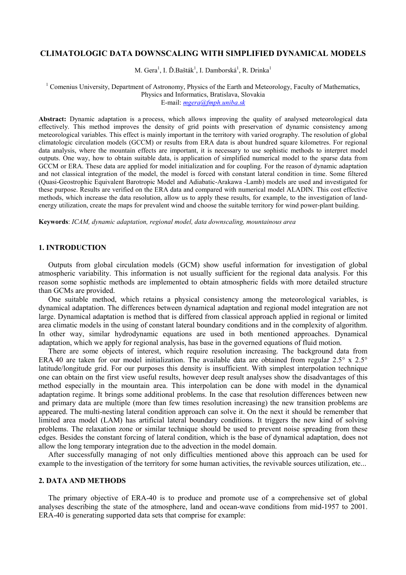#### CLIMATOLOGIC DATA DOWNSCALING WITH SIMPLIFIED DYNAMICAL MODELS

M. Gera<sup>1</sup>, I. Ď.Bašták<sup>1</sup>, I. Damborská<sup>1</sup>, R. Drinka<sup>1</sup>

# <sup>1</sup> Comenius University, Department of Astronomy, Physics of the Earth and Meteorology, Faculty of Mathematics, Physics and Informatics, Bratislava, Slovakia

E-mail: mgera@fmph.uniba.sk

Abstract: Dynamic adaptation is a process, which allows improving the quality of analysed meteorological data effectively. This method improves the density of grid points with preservation of dynamic consistency among meteorological variables. This effect is mainly important in the territory with varied orography. The resolution of global climatologic circulation models (GCCM) or results from ERA data is about hundred square kilometres. For regional data analysis, where the mountain effects are important, it is necessary to use sophistic methods to interpret model outputs. One way, how to obtain suitable data, is application of simplified numerical model to the sparse data from GCCM or ERA. These data are applied for model initialization and for coupling. For the reason of dynamic adaptation and not classical integration of the model, the model is forced with constant lateral condition in time. Some filtered (Quasi-Geostrophic Equivalent Barotropic Model and Adiabatic-Arakawa -Lamb) models are used and investigated for these purpose. Results are verified on the ERA data and compared with numerical model ALADIN. This cost effective methods, which increase the data resolution, allow us to apply these results, for example, to the investigation of landenergy utilization, create the maps for prevalent wind and choose the suitable territory for wind power-plant building.

Keywords: ICAM, dynamic adaptation, regional model, data downscaling, mountainous area

#### 1. INTRODUCTION

Outputs from global circulation models (GCM) show useful information for investigation of global atmospheric variability. This information is not usually sufficient for the regional data analysis. For this reason some sophistic methods are implemented to obtain atmospheric fields with more detailed structure than GCMs are provided.

One suitable method, which retains a physical consistency among the meteorological variables, is dynamical adaptation. The differences between dynamical adaptation and regional model integration are not large. Dynamical adaptation is method that is differed from classical approach applied in regional or limited area climatic models in the using of constant lateral boundary conditions and in the complexity of algorithm. In other way, similar hydrodynamic equations are used in both mentioned approaches. Dynamical adaptation, which we apply for regional analysis, has base in the governed equations of fluid motion.

There are some objects of interest, which require resolution increasing. The background data from ERA 40 are taken for our model initialization. The available data are obtained from regular 2.5° x 2.5° latitude/longitude grid. For our purposes this density is insufficient. With simplest interpolation technique one can obtain on the first view useful results, however deep result analyses show the disadvantages of this method especially in the mountain area. This interpolation can be done with model in the dynamical adaptation regime. It brings some additional problems. In the case that resolution differences between new and primary data are multiple (more than few times resolution increasing) the new transition problems are appeared. The multi-nesting lateral condition approach can solve it. On the next it should be remember that limited area model (LAM) has artificial lateral boundary conditions. It triggers the new kind of solving problems. The relaxation zone or similar technique should be used to prevent noise spreading from these edges. Besides the constant forcing of lateral condition, which is the base of dynamical adaptation, does not allow the long temporary integration due to the advection in the model domain.

After successfully managing of not only difficulties mentioned above this approach can be used for example to the investigation of the territory for some human activities, the revivable sources utilization, etc...

### 2. DATA AND METHODS

The primary objective of ERA-40 is to produce and promote use of a comprehensive set of global analyses describing the state of the atmosphere, land and ocean-wave conditions from mid-1957 to 2001. ERA-40 is generating supported data sets that comprise for example: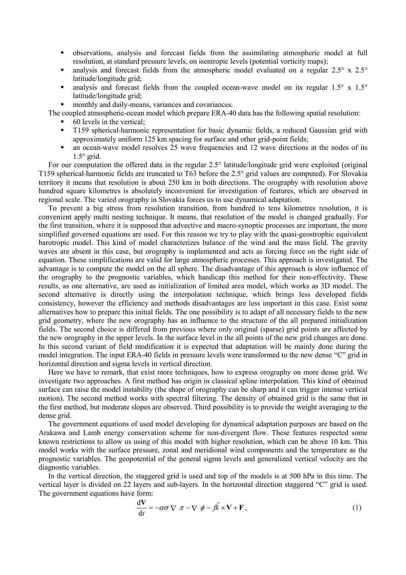- observations, analysis and forecast fields from the assimilating atmospheric model at full resolution, at standard pressure levels, on isentropic levels (potential vorticity maps);
- analysis and forecast fields from the atmospheric model evaluated on a regular 2.5° x 2.5° latitude/longitude grid;
- analysis and forecast fields from the coupled ocean-wave model on its regular 1.5° x 1.5° latitude/longitude grid;
- monthly and daily-means, variances and covariances.

The coupled atmospheric-ocean model which prepare ERA-40 data has the following spatial resolution:

- 60 levels in the vertical;
- T159 spherical-harmonic representation for basic dynamic fields, a reduced Gaussian grid with approximately uniform 125 km spacing for surface and other grid-point fields;
- an ocean-wave model resolves 25 wave frequencies and 12 wave directions at the nodes of its  $1.5^{\circ}$  grid.

For our computation the offered data in the regular 2.5° latitude/longitude grid were exploited (original T159 spherical-harmonic fields are truncated to T63 before the 2.5° grid values are computed). For Slovakia territory it means that resolution is about 250 km in both directions. The orography with resolution above hundred square kilometres is absolutely inconvenient for investigation of features, which are observed in regional scale. The varied orography in Slovakia forces us to use dynamical adaptation.

To prevent a big stress from resolution transition, from hundred to tens kilometres resolution, it is convenient apply multi nesting technique. It means, that resolution of the model is changed gradually. For the first transition, where it is supposed that advective and macro-synoptic processes are important, the more simplified governed equations are used. For this reason we try to play with the quasi-geostrophic equivalent barotropic model. This kind of model characterizes balance of the wind and the mass field. The gravity waves are absent in this case, but orography is implemented and acts as forcing force on the right side of equation. These simplifications are valid for large atmospheric processes. This approach is investigated. The advantage is to compute the model on the all sphere. The disadvantage of this approach is slow influence of the orography to the prognostic variables, which handicap this method for their non-effectivity. These results, as one alternative, are used as initialization of limited area model, which works as 3D model. The second alternative is directly using the interpolation technique, which brings less developed fields consistency, however the efficiency and methods disadvantages are less important in this case. Exist some alternatives how to prepare this initial fields. The one possibility is to adapt of all necessary fields to the new grid geometry, where the new orography has an influence to the structure of the all prepared initialization fields. The second choice is differed from previous where only original (sparse) grid points are affected by the new orography in the upper levels. In the surface level in the all points of the new grid changes are done. In this second variant of field modification it is expected that adaptation will be mainly done during the model integration. The input ERA-40 fields in pressure levels were transformed to the new dense "C" grid in horizontal direction and sigma levels in vertical direction.

Here we have to remark, that exist more techniques, how to express orography on more dense grid. We investigate two approaches. A first method has origin in classical spline interpolation. This kind of obtained surface can raise the model instability (the shape of orography can be sharp and it can trigger intense vertical motion). The second method works with spectral filtering. The density of obtained grid is the same that in the first method, but moderate slopes are observed. Third possibility is to provide the weight averaging to the dense grid.

The government equations of used model developing for dynamical adaptation purposes are based on the Arakawa and Lamb energy conservation scheme for non-divergent flow. These features respected some known restrictions to allow us using of this model with higher resolution, which can be above 10 km. This model works with the surface pressure, zonal and meridional wind components and the temperature as the prognostic variables. The geopotential of the general sigma levels and generalized vertical velocity are the diagnostic variables.

In the vertical direction, the staggered grid is used and top of the models is at 500 hPa in this time. The vertical layer is divided on 22 layers and sub-layers. In the horizontal direction staggered "C" grid is used. The government equations have form:

$$
\frac{d\mathbf{V}}{dt} = -\alpha\sigma \nabla \pi - \nabla \phi - f\vec{k} \times \mathbf{V} + \mathbf{F},
$$
\n(1)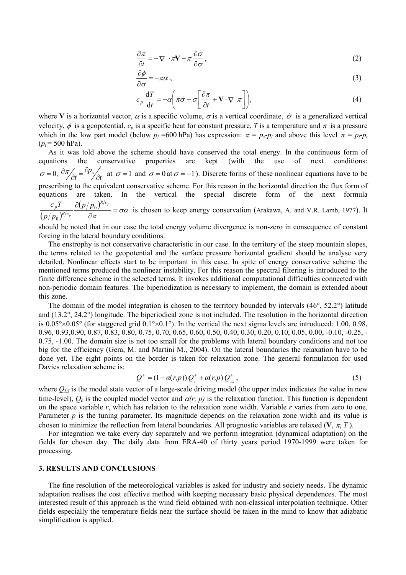$$
\frac{\partial \pi}{\partial t} = -\nabla \cdot \pi \mathbf{V} - \pi \frac{\partial \dot{\sigma}}{\partial \sigma},\tag{2}
$$

$$
\frac{\partial \phi}{\partial \sigma} = -\pi \alpha \,,\tag{3}
$$

$$
c_p \frac{dT}{dt} = -\alpha \left( \pi \dot{\sigma} + \sigma \left[ \frac{\partial \pi}{\partial t} + \mathbf{V} \cdot \nabla \pi \right] \right),\tag{4}
$$

where V is a horizontal vector,  $\alpha$  is a specific volume,  $\sigma$  is a vertical coordinate,  $\dot{\sigma}$  is a generalized vertical velocity,  $\phi$  is a geopotential,  $c_p$  is a specific heat for constant pressure, T is a temperature and  $\pi$  is a pressure which in the low part model (below  $p_l$  =600 hPa) has expression:  $\pi = p_s \cdot p_l$  and above this level  $\pi = p_l \cdot p_l$  $(p_t = 500$  hPa).

As it was told above the scheme should have conserved the total energy. In the continuous form of equations the conservative properties are kept (with the use of next conditions: 0,  $\frac{\partial \pi}{\partial t} = \frac{\partial p_s}{\partial t}$  at  $\sigma = 1$  $\dot{\sigma} = 0$ ,  $\partial \pi / \partial t = \frac{\partial p_s}{\partial t}$  at  $\sigma$ p  $\dot{\sigma} = 0$ ,  $\partial \pi / \partial t = \frac{\partial p_s}{\partial t}$  at  $\sigma = 1$  and  $\dot{\sigma} = 0$  at  $\sigma = -1$ ). Discrete forms of these nonlinear equations have to be prescribing to the equivalent conservative scheme. For this reason in the horizontal direction the flux form of equations are taken. In the vertical the special discrete form of the next formula  $\overline{(p/p_{0})^{R/2}}$  $\frac{(p/p_0)^{k/c_p}}{\sigma \alpha} = \sigma \alpha$  $\frac{\partial (y)}{\partial t} =$ ∂  $\partial (p/p_{0})^{\mathcal{B}/\mathcal{C}_{p}}$ p R/c  $R/c$  $\partial_p T$  and  $\partial(p/p)$  $p/p$  $c_{\,p}T=\partial\bigl(p/p_0$ 0 is chosen to keep energy conservation (Arakawa, A. and V.R. Lamb, 1977). It

should be noted that in our case the total energy volume divergence is non-zero in consequence of constant forcing in the lateral boundary conditions.

The enstrophy is not conservative characteristic in our case. In the territory of the steep mountain slopes, the terms related to the geopotential and the surface pressure horizontal gradient should be analyse very detailed. Nonlinear effects start to be important in this case. In spite of energy conservative scheme the mentioned terms produced the nonlinear instability. For this reason the spectral filtering is introduced to the finite difference scheme in the selected terms. It invokes additional computational difficulties connected with non-periodic domain features. The biperiodization is necessary to implement, the domain is extended about this zone.

The domain of the model integration is chosen to the territory bounded by intervals (46°, 52.2°) latitude and (13.2°, 24.2°) longitude. The biperiodical zone is not included. The resolution in the horizontal direction is  $0.05\degree\times0.05\degree$  (for staggered grid  $0.1\degree\times0.1\degree$ ). In the vertical the next sigma levels are introduced: 1.00, 0.98, 0.96, 0.93,0.90, 0.87, 0.83, 0.80, 0.75, 0.70, 0.65, 0.60, 0.50, 0.40, 0.30, 0.20, 0.10, 0.05, 0.00, -0.10, -0.25, - 0.75, -1.00. The domain size is not too small for the problems with lateral boundary conditions and not too big for the efficiency (Gera, M. and Martini M., 2004). On the lateral boundaries the relaxation have to be done yet. The eight points on the border is taken for relaxation zone. The general formulation for used Davies relaxation scheme is:

$$
Q^{+} = (1 - \alpha(r, p)) Q_{c}^{+} + \alpha(r, p) Q_{Ls}^{+} , \qquad (5)
$$

where  $Q_{LS}$  is the model state vector of a large-scale driving model (the upper index indicates the value in new time-level),  $Q_c$  is the coupled model vector and  $\alpha(r, p)$  is the relaxation function. This function is dependent on the space variable  $r$ , which has relation to the relaxation zone width. Variable  $r$  varies from zero to one. Parameter  $p$  is the tuning parameter. Its magnitude depends on the relaxation zone width and its value is chosen to minimize the reflection from lateral boundaries. All prognostic variables are relaxed  $(V, \pi, T)$ .

For integration we take every day separately and we perform integration (dynamical adaptation) on the fields for chosen day. The daily data from ERA-40 of thirty years period 1970-1999 were taken for processing.

### 3. RESULTS AND CONCLUSIONS

The fine resolution of the meteorological variables is asked for industry and society needs. The dynamic adaptation realises the cost effective method with keeping necessary basic physical dependences. The most interested result of this approach is the wind field obtained with non-classical interpolation technique. Other fields especially the temperature fields near the surface should be taken in the mind to know that adiabatic simplification is applied.